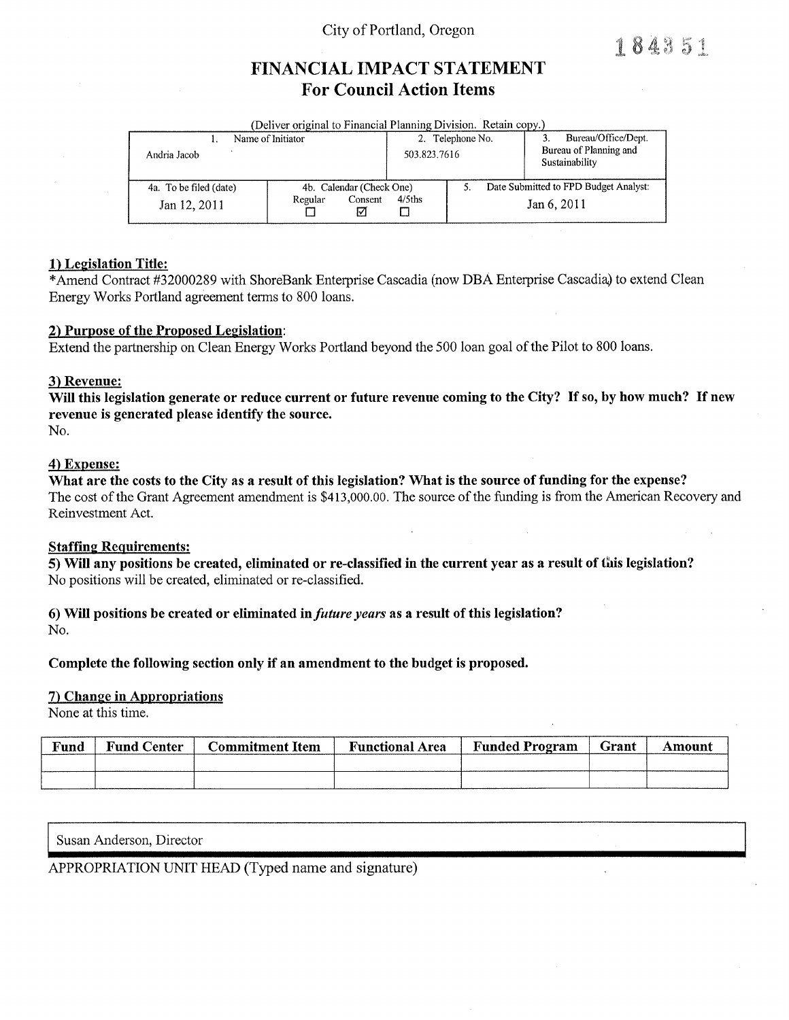## City of Portland, Oregon

184351

# FINANCIAL IMPACT STATEMENT **For Council Action Items**

| (Deliver original to Financial Planning Division. Retain copy.) |                         |                                  |             |                                                                 |  |  |  |  |  |
|-----------------------------------------------------------------|-------------------------|----------------------------------|-------------|-----------------------------------------------------------------|--|--|--|--|--|
| Name of Initiator<br>Andria Jacob                               |                         | 2. Telephone No.<br>503.823.7616 |             | Bureau/Office/Dept.<br>Bureau of Planning and<br>Sustainability |  |  |  |  |  |
| 4a. To be filed (date)                                          |                         | 4b. Calendar (Check One)         |             | Date Submitted to FPD Budget Analyst:                           |  |  |  |  |  |
| Jan 12, 2011                                                    | Consent<br>Regular<br>∇ | $4/5$ ths                        | Jan 6, 2011 |                                                                 |  |  |  |  |  |

### 1) Legislation Title:

\*Amend Contract #32000289 with ShoreBank Enterprise Cascadia (now DBA Enterprise Cascadia) to extend Clean Energy Works Portland agreement terms to 800 loans.

### 2) Purpose of the Proposed Legislation:

Extend the partnership on Clean Energy Works Portland beyond the 500 loan goal of the Pilot to 800 loans.

### 3) Revenue:

Will this legislation generate or reduce current or future revenue coming to the City? If so, by how much? If new revenue is generated please identify the source. No.

### 4) Expense:

What are the costs to the City as a result of this legislation? What is the source of funding for the expense? The cost of the Grant Agreement amendment is \$413,000.00. The source of the funding is from the American Recovery and Reinvestment Act.

#### **Staffing Requirements:**

5) Will any positions be created, eliminated or re-classified in the current year as a result of this legislation? No positions will be created, eliminated or re-classified.

# 6) Will positions be created or eliminated in *future years* as a result of this legislation?

No.

### Complete the following section only if an amendment to the budget is proposed.

### 7) Change in Appropriations

None at this time.

| Fund | <b>Fund Center</b> | Commitment Item | <b>Functional Area</b> | <b>Funded Program</b> | Grant | mount |
|------|--------------------|-----------------|------------------------|-----------------------|-------|-------|
|      |                    |                 |                        |                       |       |       |
|      |                    |                 |                        |                       |       |       |

Susan Anderson, Director

## APPROPRIATION UNIT HEAD (Typed name and signature)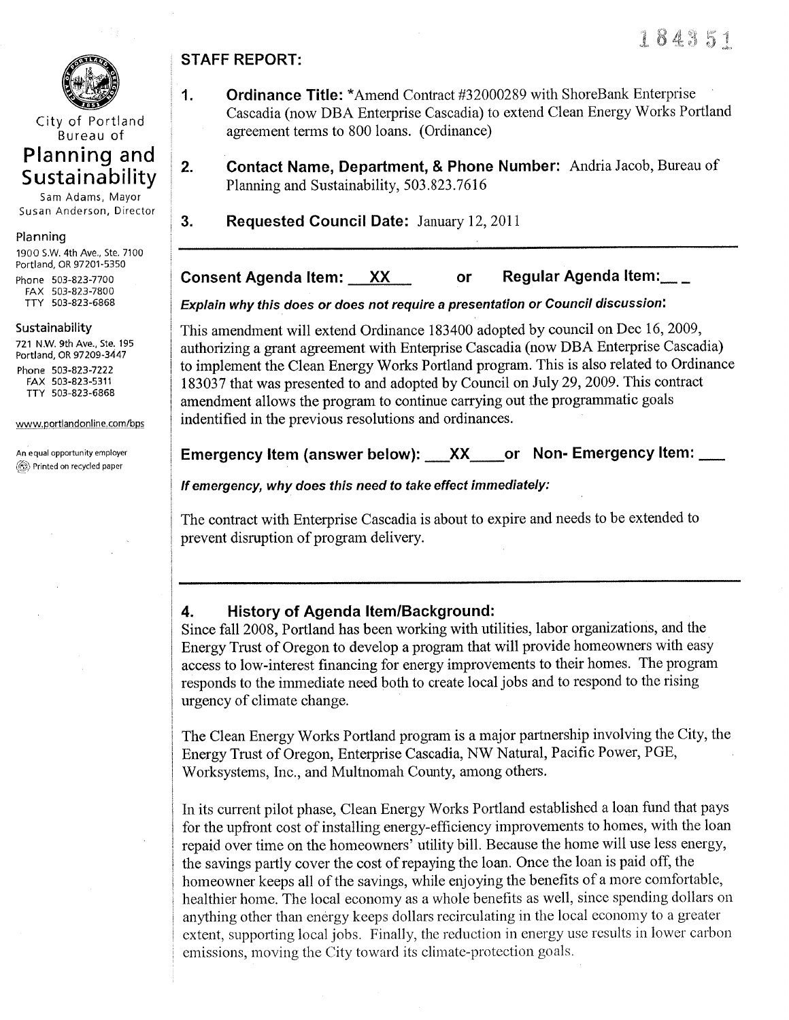

City of Portland Bureau of

# Planning and Sustainability

Sam Adams, Mayor Susan Anderson, Director

### Planning

190O S.W. 4th Ave., Ste. 7100 Portland, OR 97201 -<sup>5350</sup> Phone 503-823-7700 FAX 503-823-7800 TTY 503-823-6868

### Sustainability

721 N.W. 9th Ave., ste. 195 Portland, OR 97209-3447 Phone 503-823-7222

FAX 503-823-5311 TTY 503-823-6868

www.portlandonline.com/bps

An equal opportunity employer **(c)** Printed on recycled paper

# STAFF REPORT:

- 1. Ordinance Title: \*Amend Contract #32000289 with ShoreBank Enterprise Cascadia (now DBA Enterprise Cascadia) to extend Clean Energy Works Portland agreement terms to 800 loans. (Ordinance)
- 2. Contact Name, Department, & Phone Number: Andria Jacob, Bureau of Planning and Sustainability, 503.823.7616

**3.** Requested Council Date: January 12, 2011

# Consent Agenda Item:  $\overline{XX}$  or Regular Agenda Item:

Explain why this does or does not require a presentation or Council discussion:

This amendment will extend Ordinance 183400 adopted by council on Dec 16,2009, authorizing a grant agreement with Enterprise Cascadia (now DBA Enterprise Cascadia) to implement the Clean Energy Works Portland program. This is also related to Ordinance 183037 that was presented to and adopted by Council on July 29,2009. This contract amendment allows the program to continue carrying out the programmatic goals indentified in the previous resolutions and ordinances.

## Emergency Item (answer below): \_\_\_XX\_\_\_\_or Non-Emergency Item: \_\_\_

If emergency, why does this need to take effect immediately:

The contract with Enterprise Cascadia is about to expire and needs to be extended to prevent disruption of program delivery.

# 4. History of Agenda ltem/Background:

Since fall 2008, Portland has been working with utilities, labor organizations, and the Energy Trust of Oregon to develop a program that will provide homeowners with easy access to low-interest financing for energy improvements to their homes. The program responds to the immediate need both to create local jobs and to respond to the rising urgency of climate change.

The Clean Energy Works Portland program is a major partnership involving the City, the Energy Trust of Oregon, Enterprise Cascadia, NW Natural, Pacific Power, PGE, Worksystems, Inc., and Multnomah County, among others.

In its current pilot phase, Clean Energy Works Portland established a loan fund that pays for the upfront cost of installing energy-efficiency improvements to homes, with the loan repaid over time on the homeowners' utility bill. Because the home will use less energy, the savings partly cover the cost of repaying the loan. Once the loan is paid off, the homeowner keeps all of the savings, while enjoying the benefits of a more comfortable, healthier home. The local economy as a whole benefits as well, since spending dollars on anything other than energy keeps dollars recirculating in the local economy to a greater extent, supporting local jobs. Finally, the reduction in energy use results in lower carbon emissions, moving the City toward its climate-protection goals.